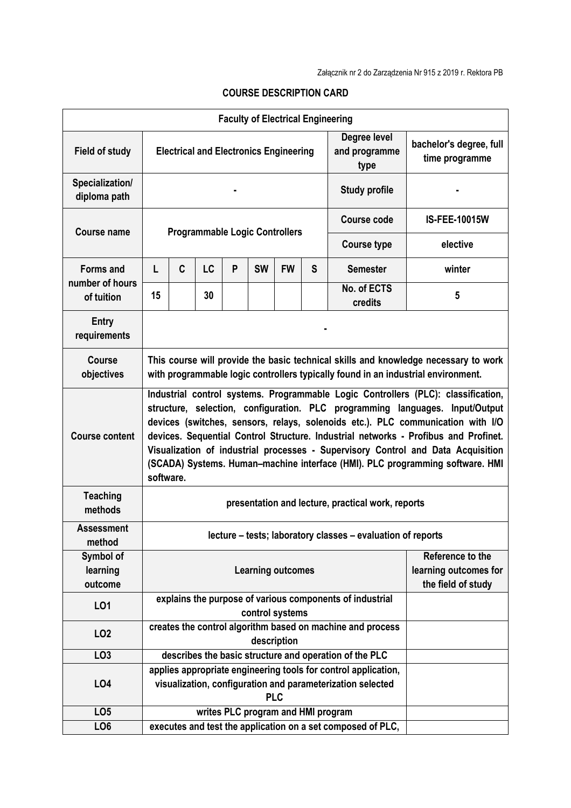| <b>Faculty of Electrical Engineering</b>          |                                                                                                                                                                                                                                                                                                                                                                                                                                                                                                                               |                                                                                                                                            |    |   |           |           |   |                                                             |                                           |  |
|---------------------------------------------------|-------------------------------------------------------------------------------------------------------------------------------------------------------------------------------------------------------------------------------------------------------------------------------------------------------------------------------------------------------------------------------------------------------------------------------------------------------------------------------------------------------------------------------|--------------------------------------------------------------------------------------------------------------------------------------------|----|---|-----------|-----------|---|-------------------------------------------------------------|-------------------------------------------|--|
| <b>Field of study</b>                             | <b>Electrical and Electronics Engineering</b><br>type                                                                                                                                                                                                                                                                                                                                                                                                                                                                         |                                                                                                                                            |    |   |           |           |   | Degree level<br>and programme                               | bachelor's degree, full<br>time programme |  |
| Specialization/<br>diploma path                   | <b>Study profile</b>                                                                                                                                                                                                                                                                                                                                                                                                                                                                                                          |                                                                                                                                            |    |   |           |           |   |                                                             |                                           |  |
| <b>Course name</b>                                | <b>Programmable Logic Controllers</b>                                                                                                                                                                                                                                                                                                                                                                                                                                                                                         |                                                                                                                                            |    |   |           |           |   | <b>Course code</b>                                          | <b>IS-FEE-10015W</b>                      |  |
|                                                   |                                                                                                                                                                                                                                                                                                                                                                                                                                                                                                                               |                                                                                                                                            |    |   |           |           |   | <b>Course type</b>                                          | elective                                  |  |
| <b>Forms and</b><br>number of hours<br>of tuition | L                                                                                                                                                                                                                                                                                                                                                                                                                                                                                                                             | C                                                                                                                                          | LC | P | <b>SW</b> | <b>FW</b> | S | <b>Semester</b>                                             | winter                                    |  |
|                                                   | 15                                                                                                                                                                                                                                                                                                                                                                                                                                                                                                                            |                                                                                                                                            | 30 |   |           |           |   | No. of ECTS<br>credits                                      | 5                                         |  |
| Entry<br>requirements                             |                                                                                                                                                                                                                                                                                                                                                                                                                                                                                                                               |                                                                                                                                            |    |   |           |           |   |                                                             |                                           |  |
| <b>Course</b><br>objectives                       | This course will provide the basic technical skills and knowledge necessary to work<br>with programmable logic controllers typically found in an industrial environment.                                                                                                                                                                                                                                                                                                                                                      |                                                                                                                                            |    |   |           |           |   |                                                             |                                           |  |
| <b>Course content</b>                             | Industrial control systems. Programmable Logic Controllers (PLC): classification,<br>structure, selection, configuration. PLC programming languages. Input/Output<br>devices (switches, sensors, relays, solenoids etc.). PLC communication with I/O<br>devices. Sequential Control Structure. Industrial networks - Profibus and Profinet.<br>Visualization of industrial processes - Supervisory Control and Data Acquisition<br>(SCADA) Systems. Human-machine interface (HMI). PLC programming software. HMI<br>software. |                                                                                                                                            |    |   |           |           |   |                                                             |                                           |  |
| <b>Teaching</b><br>methods                        | presentation and lecture, practical work, reports                                                                                                                                                                                                                                                                                                                                                                                                                                                                             |                                                                                                                                            |    |   |           |           |   |                                                             |                                           |  |
| <b>Assessment</b><br>method                       | lecture - tests; laboratory classes - evaluation of reports                                                                                                                                                                                                                                                                                                                                                                                                                                                                   |                                                                                                                                            |    |   |           |           |   |                                                             |                                           |  |
| Symbol of<br>learning<br>outcome                  | Reference to the<br><b>Learning outcomes</b><br>the field of study                                                                                                                                                                                                                                                                                                                                                                                                                                                            |                                                                                                                                            |    |   |           |           |   |                                                             | learning outcomes for                     |  |
| LO1                                               |                                                                                                                                                                                                                                                                                                                                                                                                                                                                                                                               | explains the purpose of various components of industrial<br>control systems                                                                |    |   |           |           |   |                                                             |                                           |  |
| LO <sub>2</sub>                                   |                                                                                                                                                                                                                                                                                                                                                                                                                                                                                                                               | creates the control algorithm based on machine and process<br>description                                                                  |    |   |           |           |   |                                                             |                                           |  |
| LO <sub>3</sub>                                   |                                                                                                                                                                                                                                                                                                                                                                                                                                                                                                                               |                                                                                                                                            |    |   |           |           |   | describes the basic structure and operation of the PLC      |                                           |  |
| LO4                                               |                                                                                                                                                                                                                                                                                                                                                                                                                                                                                                                               | applies appropriate engineering tools for control application,<br>visualization, configuration and parameterization selected<br><b>PLC</b> |    |   |           |           |   |                                                             |                                           |  |
| LO <sub>5</sub>                                   |                                                                                                                                                                                                                                                                                                                                                                                                                                                                                                                               | writes PLC program and HMI program                                                                                                         |    |   |           |           |   |                                                             |                                           |  |
| LO <sub>6</sub>                                   |                                                                                                                                                                                                                                                                                                                                                                                                                                                                                                                               |                                                                                                                                            |    |   |           |           |   | executes and test the application on a set composed of PLC, |                                           |  |

## **COURSE DESCRIPTION CARD**